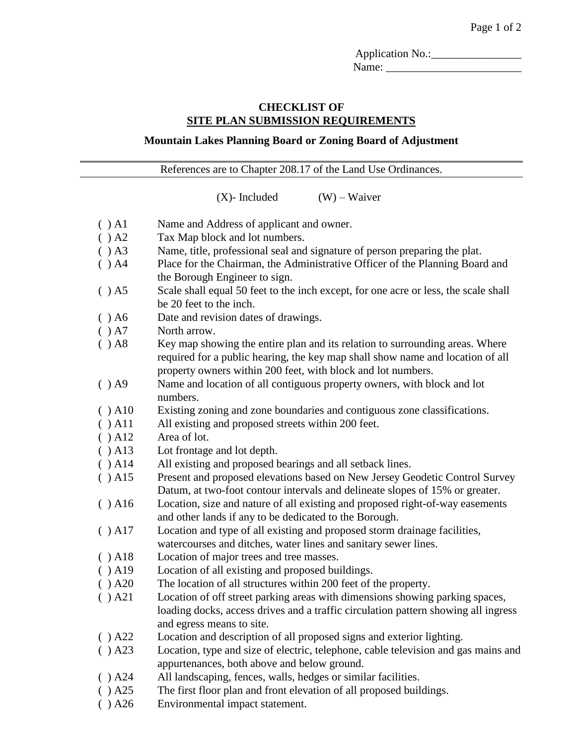Application No.:\_\_\_\_\_\_\_\_\_\_\_\_\_\_\_\_ Name:

## **CHECKLIST OF SITE PLAN SUBMISSION REQUIREMENTS**

## **Mountain Lakes Planning Board or Zoning Board of Adjustment**

References are to Chapter 208.17 of the Land Use Ordinances.

 $(X)$ - Included  $(W)$  – Waiver

- ( ) A1 Name and Address of applicant and owner.
- ( ) A2 Tax Map block and lot numbers.
- ( ) A3 Name, title, professional seal and signature of person preparing the plat.
- ( ) A4 Place for the Chairman, the Administrative Officer of the Planning Board and the Borough Engineer to sign.
- ( ) A5 Scale shall equal 50 feet to the inch except, for one acre or less, the scale shall be 20 feet to the inch.
- ( ) A6 Date and revision dates of drawings.
- ( ) A7 North arrow.
- $( )$  A8 Key map showing the entire plan and its relation to surrounding areas. Where required for a public hearing, the key map shall show name and location of all property owners within 200 feet, with block and lot numbers.
- ( ) A9 Name and location of all contiguous property owners, with block and lot numbers.
- ( ) A10 Existing zoning and zone boundaries and contiguous zone classifications.
- ( ) A11 All existing and proposed streets within 200 feet.
- ( ) A12 Area of lot.
- ( ) A13 Lot frontage and lot depth.
- ( ) A14 All existing and proposed bearings and all setback lines.
- ( ) A15 Present and proposed elevations based on New Jersey Geodetic Control Survey Datum, at two-foot contour intervals and delineate slopes of 15% or greater.
- ( ) A16 Location, size and nature of all existing and proposed right-of-way easements and other lands if any to be dedicated to the Borough.
- ( ) A17 Location and type of all existing and proposed storm drainage facilities, watercourses and ditches, water lines and sanitary sewer lines.
- ( ) A18 Location of major trees and tree masses.
- ( ) A19 Location of all existing and proposed buildings.
- ( ) A20 The location of all structures within 200 feet of the property.
- ( ) A21 Location of off street parking areas with dimensions showing parking spaces, loading docks, access drives and a traffic circulation pattern showing all ingress and egress means to site.
- ( ) A22 Location and description of all proposed signs and exterior lighting.
- ( ) A23 Location, type and size of electric, telephone, cable television and gas mains and appurtenances, both above and below ground.
- ( ) A24 All landscaping, fences, walls, hedges or similar facilities.
- ( ) A25 The first floor plan and front elevation of all proposed buildings.
- ( ) A26 Environmental impact statement.